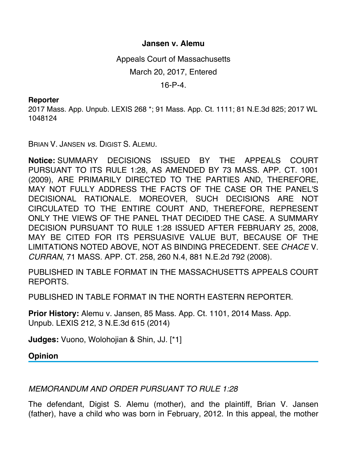## **Jansen v. Alemu**

Appeals Court of Massachusetts

March 20, 2017, Entered

16-P-4.

## **Reporter**

2017 Mass. App. Unpub. LEXIS 268 \*; 91 Mass. App. Ct. 1111; 81 N.E.3d 825; 2017 WL 1048124

BRIAN V. JANSEN *vs.* DIGIST S. ALEMU.

**Notice:** SUMMARY DECISIONS ISSUED BY THE APPEALS COURT PURSUANT TO ITS RULE 1:28, AS AMENDED BY 73 MASS. APP. CT. 1001 (2009), ARE PRIMARILY DIRECTED TO THE PARTIES AND, THEREFORE, MAY NOT FULLY ADDRESS THE FACTS OF THE CASE OR THE PANEL'S DECISIONAL RATIONALE. MOREOVER, SUCH DECISIONS ARE NOT CIRCULATED TO THE ENTIRE COURT AND, THEREFORE, REPRESENT ONLY THE VIEWS OF THE PANEL THAT DECIDED THE CASE. A SUMMARY DECISION PURSUANT TO RULE 1:28 ISSUED AFTER FEBRUARY 25, 2008, MAY BE CITED FOR ITS PERSUASIVE VALUE BUT, BECAUSE OF THE LIMITATIONS NOTED ABOVE, NOT AS BINDING PRECEDENT. SEE *CHACE* V. *CURRAN*, 71 MASS. APP. CT. 258, 260 N.4, 881 N.E.2d 792 (2008).

PUBLISHED IN TABLE FORMAT IN THE MASSACHUSETTS APPEALS COURT REPORTS.

PUBLISHED IN TABLE FORMAT IN THE NORTH EASTERN REPORTER.

**Prior History:** Alemu v. Jansen, 85 Mass. App. Ct. 1101, 2014 Mass. App. Unpub. LEXIS 212, 3 N.E.3d 615 (2014)

**Judges:** Vuono, Wolohojian & Shin, JJ. [\*1]

**Opinion**

*MEMORANDUM AND ORDER PURSUANT TO RULE 1:28*

The defendant, Digist S. Alemu (mother), and the plaintiff, Brian V. Jansen (father), have a child who was born in February, 2012. In this appeal, the mother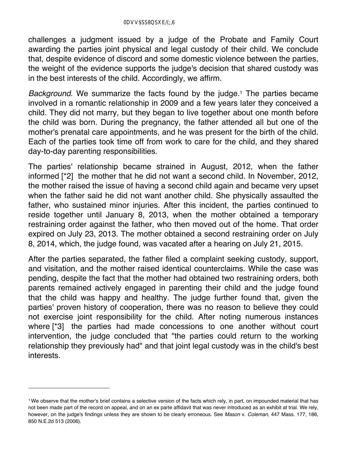challenges a judgment issued by a judge of the Probate and Family Court awarding the parties joint physical and legal custody of their child. We conclude that, despite evidence of discord and some domestic violence between the parties, the weight of the evidence supports the judge's decision that shared custody was in the best interests of the child. Accordingly, we affirm.

*Background*. We summarize the facts found by the judge.<sup>1</sup> The parties became involved in a romantic relationship in 2009 and a few years later they conceived a child. They did not marry, but they began to live together about one month before the child was born. During the pregnancy, the father attended all but one of the mother's prenatal care appointments, and he was present for the birth of the child. Each of the parties took time off from work to care for the child, and they shared day-to-day parenting responsibilities.

The parties' relationship became strained in August, 2012, when the father informed [\*2] the mother that he did not want a second child. In November, 2012, the mother raised the issue of having a second child again and became very upset when the father said he did not want another child. She physically assaulted the father, who sustained minor injuries. After this incident, the parties continued to reside together until January 8, 2013, when the mother obtained a temporary restraining order against the father, who then moved out of the home. That order expired on July 23, 2013. The mother obtained a second restraining order on July 8, 2014, which, the judge found, was vacated after a hearing on July 21, 2015.

After the parties separated, the father filed a complaint seeking custody, support, and visitation, and the mother raised identical counterclaims. While the case was pending, despite the fact that the mother had obtained two restraining orders, both parents remained actively engaged in parenting their child and the judge found that the child was happy and healthy. The judge further found that, given the parties' proven history of cooperation, there was no reason to believe they could not exercise joint responsibility for the child. After noting numerous instances where [\*3] the parties had made concessions to one another without court intervention, the judge concluded that "the parties could return to the working relationship they previously had" and that joint legal custody was in the child's best interests.

<sup>1</sup> We observe that the mother's brief contains a selective version of the facts which rely, in part, on impounded material that has not been made part of the record on appeal, and on an ex parte affidavit that was never introduced as an exhibit at trial. We rely, however, on the judge's findings unless they are shown to be clearly erroneous. See *Mason* v. *Coleman*, 447 Mass. 177, 186, 850 N.E.2d 513 (2006).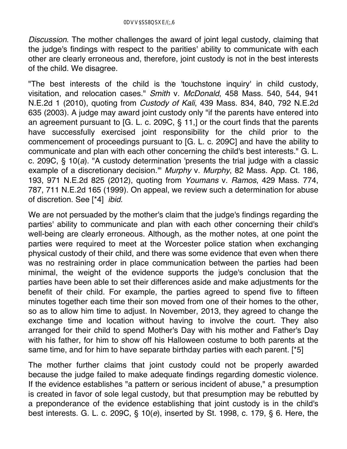*Discussion*. The mother challenges the award of joint legal custody, claiming that the judge's findings with respect to the parities' ability to communicate with each other are clearly erroneous and, therefore, joint custody is not in the best interests of the child. We disagree.

"The best interests of the child is the 'touchstone inquiry' in child custody, visitation, and relocation cases." *Smith* v. *McDonald*, 458 Mass. 540, 544, 941 N.E.2d 1 (2010), quoting from *Custody of Kali*, 439 Mass. 834, 840, 792 N.E.2d 635 (2003). A judge may award joint custody only "if the parents have entered into an agreement pursuant to [G. L. c. 209C, § 11,] or the court finds that the parents have successfully exercised joint responsibility for the child prior to the commencement of proceedings pursuant to [G. L. c. 209C] and have the ability to communicate and plan with each other concerning the child's best interests." G. L. c. 209C, § 10(*a*). "A custody determination 'presents the trial judge with a classic example of a discretionary decision.'" *Murphy* v. *Murphy*, 82 Mass. App. Ct. 186, 193, 971 N.E.2d 825 (2012), quoting from *Youmans* v. *Ramos*, 429 Mass. 774, 787, 711 N.E.2d 165 (1999). On appeal, we review such a determination for abuse of discretion. See [\*4] *ibid.*

We are not persuaded by the mother's claim that the judge's findings regarding the parties' ability to communicate and plan with each other concerning their child's well-being are clearly erroneous. Although, as the mother notes, at one point the parties were required to meet at the Worcester police station when exchanging physical custody of their child, and there was some evidence that even when there was no restraining order in place communication between the parties had been minimal, the weight of the evidence supports the judge's conclusion that the parties have been able to set their differences aside and make adjustments for the benefit of their child. For example, the parties agreed to spend five to fifteen minutes together each time their son moved from one of their homes to the other, so as to allow him time to adjust. In November, 2013, they agreed to change the exchange time and location without having to involve the court. They also arranged for their child to spend Mother's Day with his mother and Father's Day with his father, for him to show off his Halloween costume to both parents at the same time, and for him to have separate birthday parties with each parent. [\*5]

The mother further claims that joint custody could not be properly awarded because the judge failed to make adequate findings regarding domestic violence. If the evidence establishes "a pattern or serious incident of abuse," a presumption is created in favor of sole legal custody, but that presumption may be rebutted by a preponderance of the evidence establishing that joint custody is in the child's best interests. G. L. c. 209C, § 10(*e*), inserted by St. 1998, c. 179, § 6. Here, the